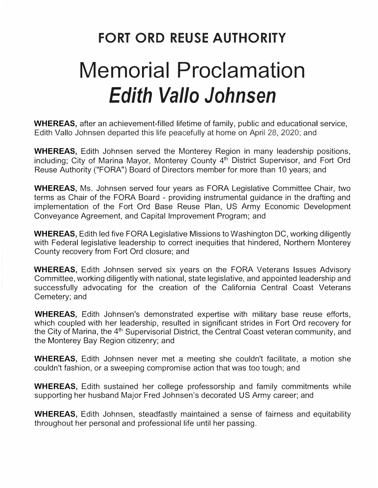## **FORT ORD REUSE AUTHORITY Memorial Proclamation**  *Edith Vallo Johnsen*

**WHEREAS,** after an achievement-filled lifetime of family, public and educational service, Edith Vallo Johnsen departed this life peacefully at home on April 28, 2020; and

**WHEREAS,** Edith Johnsen served the Monterey Region in many leadership positions, including; City of Marina Mayor, Monterey County 4<sup>th</sup> District Supervisor, and Fort Ord Reuse Authority ("FORA") Board of Directors member for more than 10 years; and

**WHEREAS,** Ms. Johnsen served four years as FORA Legislative Committee Chair, two terms as Chair of the FORA Board - providing instrumental guidance in the drafting and implementation of the Fort Ord Base Reuse Plan, US Army Economic Development Conveyance Agreement, and Capital Improvement Program; and

**WHEREAS,** Edith led five FORA Legislative Missions to Washington DC, working diligently with Federal legislative leadership to correct inequities that hindered, Northern Monterey County recovery from Fort Ord closure; and

**WHEREAS,** Edith Johnsen served six years on the FORA Veterans Issues Advisory Committee, working diligently with national, state legislative, and appointed leadership and successfully advocating for the creation of the California Central Coast Veterans Cemetery; and

**WHEREAS,** Edith Johnsen's demonstrated expertise with military base reuse efforts, which coupled with her leadership, resulted in significant strides in Fort Ord recovery for the City of Marina, the 4<sup>th</sup> Supervisorial District, the Central Coast veteran community, and the Monterey Bay Region citizenry; and

**WHEREAS,** Edith Johnsen never met a meeting she couldn't facilitate, a motion she couldn't fashion, or a sweeping compromise action that was too tough; and

**WHEREAS,** Edith sustained her college professorship and family commitments while supporting her husband Major Fred Johnsen's decorated US Army career; and

**WHEREAS,** Edith Johnsen, steadfastly maintained a sense of fairness and equitability throughout her personal and professional life until her passing.